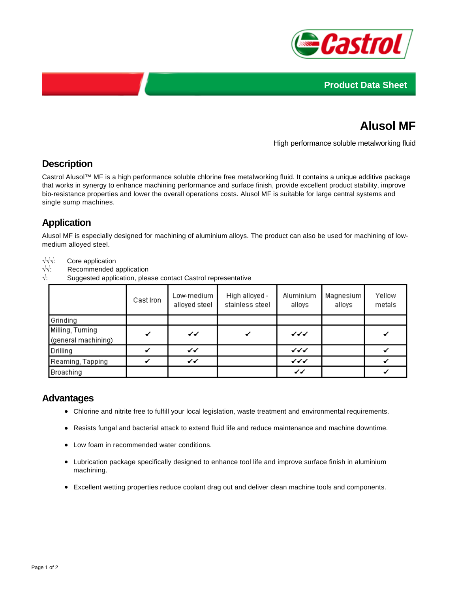



# **Alusol MF**

High performance soluble metalworking fluid

#### **Description**

Castrol Alusol™ MF is a high performance soluble chlorine free metalworking fluid. It contains a unique additive package that works in synergy to enhance machining performance and surface finish, provide excellent product stability, improve bio-resistance properties and lower the overall operations costs. Alusol MF is suitable for large central systems and single sump machines.

## **Application**

Alusol MF is especially designed for machining of aluminium alloys. The product can also be used for machining of lowmedium alloyed steel.

√√√: Core application

- √√: Recommended application
- $\sqrt{ }$ : Suggested application, please contact Castrol representative

|                                         | Cast Iron | Low-medium<br>alloyed steel | High alloyed -<br>stainless steel | Aluminium<br>alloys | Magnesium<br>alloys | Yellow<br>metals |
|-----------------------------------------|-----------|-----------------------------|-----------------------------------|---------------------|---------------------|------------------|
| Grinding                                |           |                             |                                   |                     |                     |                  |
| Milling, Turning<br>(general machining) |           | ✔                           |                                   | シンジ                 |                     |                  |
| Drilling                                |           | ✔                           |                                   | シンシ                 |                     |                  |
| Reaming, Tapping                        |           | ∡∡                          |                                   | シンジ                 |                     |                  |
| <b>Broaching</b>                        |           |                             |                                   | ✔                   |                     |                  |

#### **Advantages**

- Chlorine and nitrite free to fulfill your local legislation, waste treatment and environmental requirements.
- Resists fungal and bacterial attack to extend fluid life and reduce maintenance and machine downtime.
- Low foam in recommended water conditions.
- Lubrication package specifically designed to enhance tool life and improve surface finish in aluminium machining.
- Excellent wetting properties reduce coolant drag out and deliver clean machine tools and components.